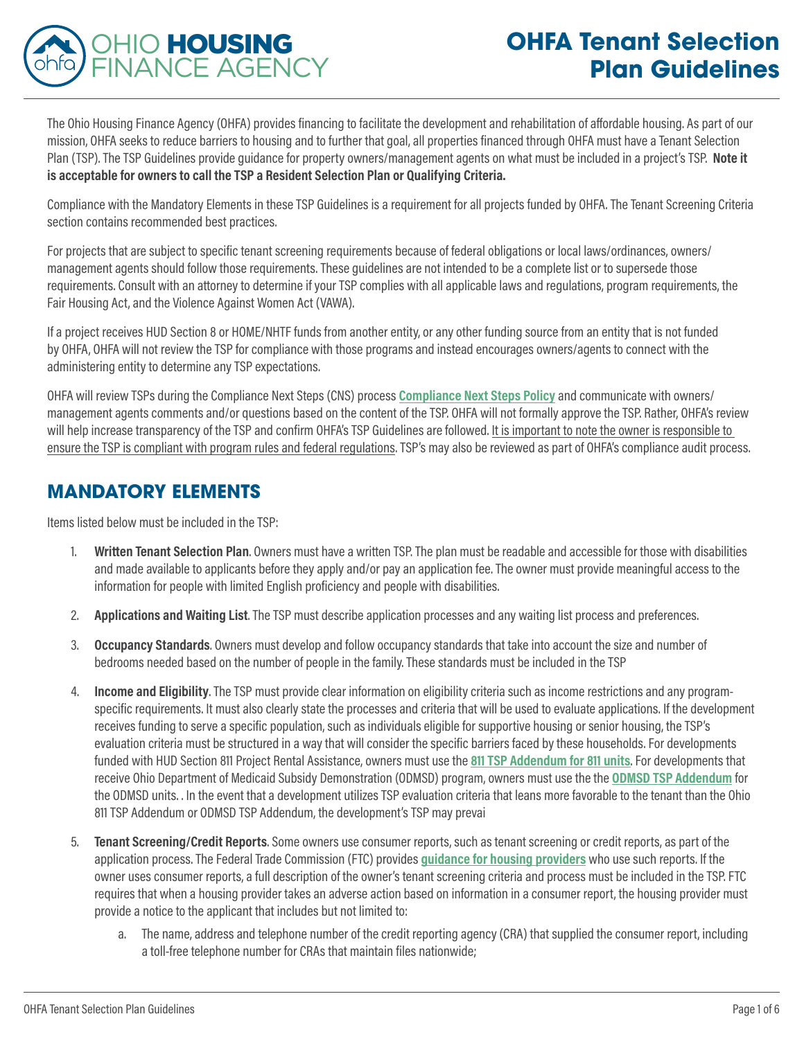

The Ohio Housing Finance Agency (OHFA) provides financing to facilitate the development and rehabilitation of affordable housing. As part of our mission, OHFA seeks to reduce barriers to housing and to further that goal, all properties financed through OHFA must have a Tenant Selection Plan (TSP). The TSP Guidelines provide guidance for property owners/management agents on what must be included in a project's TSP. **Note it is acceptable for owners to call the TSP a Resident Selection Plan or Qualifying Criteria.** 

Compliance with the Mandatory Elements in these TSP Guidelines is a requirement for all projects funded by OHFA. The Tenant Screening Criteria section contains recommended best practices.

For projects that are subject to specific tenant screening requirements because of federal obligations or local laws/ordinances, owners/ management agents should follow those requirements. These guidelines are not intended to be a complete list or to supersede those requirements. Consult with an attorney to determine if your TSP complies with all applicable laws and regulations, program requirements, the Fair Housing Act, and the Violence Against Women Act (VAWA).

If a project receives HUD Section 8 or HOME/NHTF funds from another entity, or any other funding source from an entity that is not funded by OHFA, OHFA will not review the TSP for compliance with those programs and instead encourages owners/agents to connect with the administering entity to determine any TSP expectations.

OHFA will review TSPs during the Compliance Next Steps (CNS) process **[Compliance Next Steps Policy](https://ohiohome.org/multifamily/documents/NextStepsMeetingProcess.pdf)** and communicate with owners/ management agents comments and/or questions based on the content of the TSP. OHFA will not formally approve the TSP. Rather, OHFA's review will help increase transparency of the TSP and confirm OHFA's TSP Guidelines are followed. It is important to note the owner is responsible to ensure the TSP is compliant with program rules and federal regulations. TSP's may also be reviewed as part of OHFA's compliance audit process.

## **MANDATORY ELEMENTS**

Items listed below must be included in the TSP:

- 1. **Written Tenant Selection Plan**. Owners must have a written TSP. The plan must be readable and accessible for those with disabilities and made available to applicants before they apply and/or pay an application fee. The owner must provide meaningful access to the information for people with limited English proficiency and people with disabilities.
- 2. **Applications and Waiting List**. The TSP must describe application processes and any waiting list process and preferences.
- 3. **Occupancy Standards**. Owners must develop and follow occupancy standards that take into account the size and number of bedrooms needed based on the number of people in the family. These standards must be included in the TSP
- 4. **Income and Eligibility**. The TSP must provide clear information on eligibility criteria such as income restrictions and any programspecific requirements. It must also clearly state the processes and criteria that will be used to evaluate applications. If the development receives funding to serve a specific population, such as individuals eligible for supportive housing or senior housing, the TSP's evaluation criteria must be structured in a way that will consider the specific barriers faced by these households. For developments funded with HUD Section 811 Project Rental Assistance, owners must use the **[811 TSP Addendum for 811 units](https://ohiohome.org/811pra/documents/TenantSelectionPlanAddendum.pdf)**. For developments that receive Ohio Department of Medicaid Subsidy Demonstration (ODMSD) program, owners must use the the **[ODMSD TSP Addendum](https://ohiohome.org/ppd/documents/TenantSelectionPlanAddendum.pdf)** for the ODMSD units. . In the event that a development utilizes TSP evaluation criteria that leans more favorable to the tenant than the Ohio 811 TSP Addendum or ODMSD TSP Addendum, the development's TSP may prevai
- 5. **Tenant Screening/Credit Reports**. Some owners use consumer reports, such as tenant screening or credit reports, as part of the application process. The Federal Trade Commission (FTC) provides **[guidance for housing providers](https://www.ftc.gov/tips-advice/business-center/guidance/using-consumer-reports-what-landlords-need-know)** who use such reports. If the owner uses consumer reports, a full description of the owner's tenant screening criteria and process must be included in the TSP. FTC requires that when a housing provider takes an adverse action based on information in a consumer report, the housing provider must provide a notice to the applicant that includes but not limited to:
	- a. The name, address and telephone number of the credit reporting agency (CRA) that supplied the consumer report, including a toll-free telephone number for CRAs that maintain files nationwide;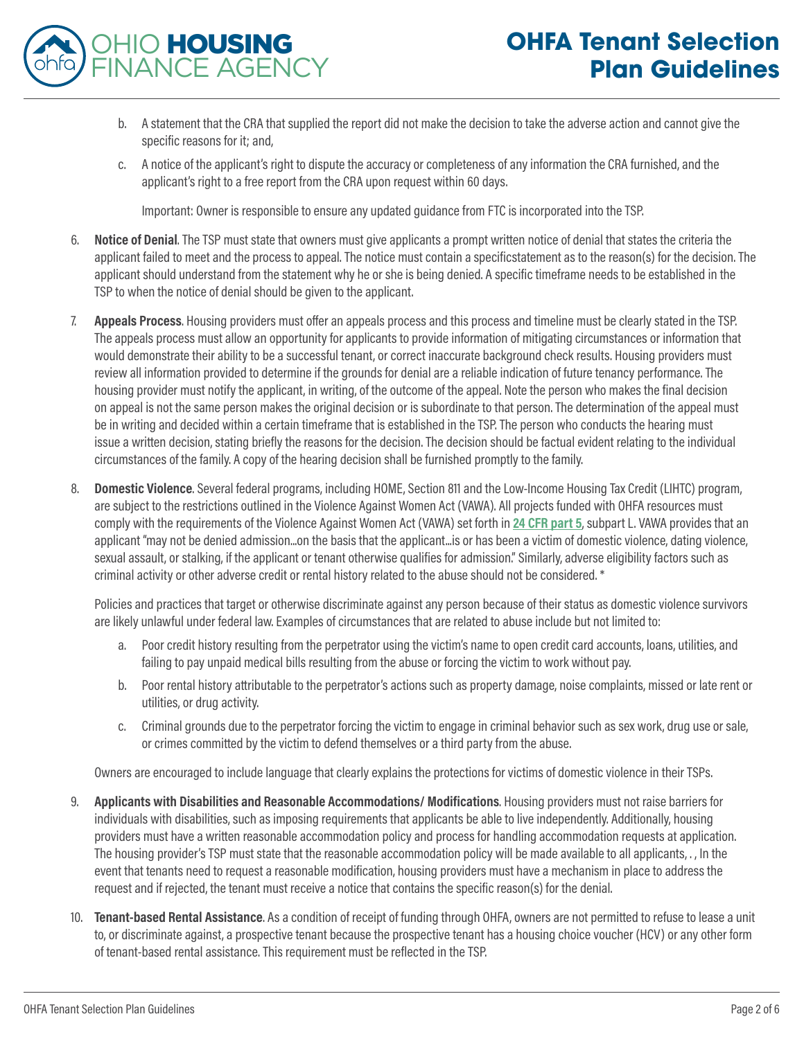

- b. A statement that the CRA that supplied the report did not make the decision to take the adverse action and cannot give the specific reasons for it; and,
- c. A notice of the applicant's right to dispute the accuracy or completeness of any information the CRA furnished, and the applicant's right to a free report from the CRA upon request within 60 days.

Important: Owner is responsible to ensure any updated guidance from FTC is incorporated into the TSP.

- 6. **Notice of Denial**. The TSP must state that owners must give applicants a prompt written notice of denial that states the criteria the applicant failed to meet and the process to appeal. The notice must contain a specificstatement as to the reason(s) for the decision. The applicant should understand from the statement why he or she is being denied. A specific timeframe needs to be established in the TSP to when the notice of denial should be given to the applicant.
- 7. **Appeals Process**. Housing providers must offer an appeals process and this process and timeline must be clearly stated in the TSP. The appeals process must allow an opportunity for applicants to provide information of mitigating circumstances or information that would demonstrate their ability to be a successful tenant, or correct inaccurate background check results. Housing providers must review all information provided to determine if the grounds for denial are a reliable indication of future tenancy performance. The housing provider must notify the applicant, in writing, of the outcome of the appeal. Note the person who makes the final decision on appeal is not the same person makes the original decision or is subordinate to that person. The determination of the appeal must be in writing and decided within a certain timeframe that is established in the TSP. The person who conducts the hearing must issue a written decision, stating briefly the reasons for the decision. The decision should be factual evident relating to the individual circumstances of the family. A copy of the hearing decision shall be furnished promptly to the family.
- 8. **Domestic Violence**. Several federal programs, including HOME, Section 811 and the Low-Income Housing Tax Credit (LIHTC) program, are subject to the restrictions outlined in the Violence Against Women Act (VAWA). All projects funded with OHFA resources must comply with the requirements of the Violence Against Women Act (VAWA) set forth in **[24 CFR part 5](https://www.law.cornell.edu/cfr/text/24/part-5)**, subpart L. VAWA provides that an applicant "may not be denied admission...on the basis that the applicant...is or has been a victim of domestic violence, dating violence, sexual assault, or stalking, if the applicant or tenant otherwise qualifies for admission." Similarly, adverse eligibility factors such as criminal activity or other adverse credit or rental history related to the abuse should not be considered. \*

Policies and practices that target or otherwise discriminate against any person because of their status as domestic violence survivors are likely unlawful under federal law. Examples of circumstances that are related to abuse include but not limited to:

- a. Poor credit history resulting from the perpetrator using the victim's name to open credit card accounts, loans, utilities, and failing to pay unpaid medical bills resulting from the abuse or forcing the victim to work without pay.
- b. Poor rental history attributable to the perpetrator's actions such as property damage, noise complaints, missed or late rent or utilities, or drug activity.
- c. Criminal grounds due to the perpetrator forcing the victim to engage in criminal behavior such as sex work, drug use or sale, or crimes committed by the victim to defend themselves or a third party from the abuse.

Owners are encouraged to include language that clearly explains the protections for victims of domestic violence in their TSPs.

- 9. **Applicants with Disabilities and Reasonable Accommodations/ Modifications**. Housing providers must not raise barriers for individuals with disabilities, such as imposing requirements that applicants be able to live independently. Additionally, housing providers must have a written reasonable accommodation policy and process for handling accommodation requests at application. The housing provider's TSP must state that the reasonable accommodation policy will be made available to all applicants, . , In the event that tenants need to request a reasonable modification, housing providers must have a mechanism in place to address the request and if rejected, the tenant must receive a notice that contains the specific reason(s) for the denial.
- 10. **Tenant-based Rental Assistance**. As a condition of receipt of funding through OHFA, owners are not permitted to refuse to lease a unit to, or discriminate against, a prospective tenant because the prospective tenant has a housing choice voucher (HCV) or any other form of tenant-based rental assistance. This requirement must be reflected in the TSP.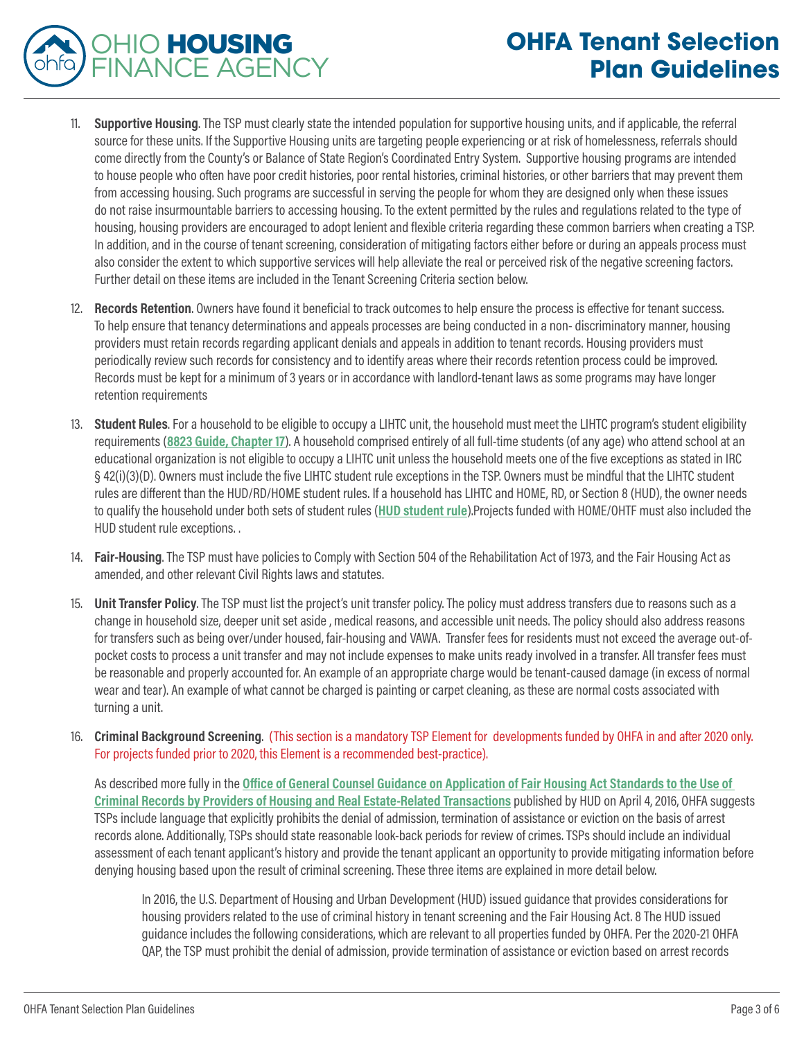## **OHFA Tenant Selection Plan Guidelines**

11. **Supportive Housing**. The TSP must clearly state the intended population for supportive housing units, and if applicable, the referral source for these units. If the Supportive Housing units are targeting people experiencing or at risk of homelessness, referrals should come directly from the County's or Balance of State Region's Coordinated Entry System. Supportive housing programs are intended to house people who often have poor credit histories, poor rental histories, criminal histories, or other barriers that may prevent them from accessing housing. Such programs are successful in serving the people for whom they are designed only when these issues do not raise insurmountable barriers to accessing housing. To the extent permitted by the rules and regulations related to the type of housing, housing providers are encouraged to adopt lenient and flexible criteria regarding these common barriers when creating a TSP. In addition, and in the course of tenant screening, consideration of mitigating factors either before or during an appeals process must also consider the extent to which supportive services will help alleviate the real or perceived risk of the negative screening factors. Further detail on these items are included in the Tenant Screening Criteria section below.

OHIO HOUSING

FINANCE AGENCY

- 12. **Records Retention**. Owners have found it beneficial to track outcomes to help ensure the process is effective for tenant success. To help ensure that tenancy determinations and appeals processes are being conducted in a non- discriminatory manner, housing providers must retain records regarding applicant denials and appeals in addition to tenant records. Housing providers must periodically review such records for consistency and to identify areas where their records retention process could be improved. Records must be kept for a minimum of 3 years or in accordance with landlord-tenant laws as some programs may have longer retention requirements
- 13. **Student Rules**. For a household to be eligible to occupy a LIHTC unit, the household must meet the LIHTC program's student eligibility requirements (**[8823 Guide, Chapter 17](https://www.irs.gov/pub/irs-utl/lihc-form8823guide.pdf#page=154)**). A household comprised entirely of all full-time students (of any age) who attend school at an educational organization is not eligible to occupy a LIHTC unit unless the household meets one of the five exceptions as stated in IRC § 42(i)(3)(D). Owners must include the five LIHTC student rule exceptions in the TSP. Owners must be mindful that the LIHTC student rules are different than the HUD/RD/HOME student rules. If a household has LIHTC and HOME, RD, or Section 8 (HUD), the owner needs to qualify the household under both sets of student rules (**[HUD student rule](https://www.hud.gov/sites/documents/DOC_35645.PDF#page=37)**).Projects funded with HOME/OHTF must also included the HUD student rule exceptions. .
- 14. **Fair-Housing**. The TSP must have policies to Comply with Section 504 of the Rehabilitation Act of 1973, and the Fair Housing Act as amended, and other relevant Civil Rights laws and statutes.
- 15. **Unit Transfer Policy**. The TSP must list the project's unit transfer policy. The policy must address transfers due to reasons such as a change in household size, deeper unit set aside , medical reasons, and accessible unit needs. The policy should also address reasons for transfers such as being over/under housed, fair-housing and VAWA. Transfer fees for residents must not exceed the average out-ofpocket costs to process a unit transfer and may not include expenses to make units ready involved in a transfer. All transfer fees must be reasonable and properly accounted for. An example of an appropriate charge would be tenant-caused damage (in excess of normal wear and tear). An example of what cannot be charged is painting or carpet cleaning, as these are normal costs associated with turning a unit.
- 16. **Criminal Background Screening**. (This section is a mandatory TSP Element for developments funded by OHFA in and after 2020 only. For projects funded prior to 2020, this Element is a recommended best-practice).

As described more fully in the **[Office of General Counsel Guidance on Application of Fair Housing Act Standards to the Use of](https://www.hud.gov/sites/documents/HUD_OGCGUIDAPPFHASTANDCR.PDF)  [Criminal Records by Providers of Housing and Real Estate-Related Transactions](https://www.hud.gov/sites/documents/HUD_OGCGUIDAPPFHASTANDCR.PDF)** published by HUD on April 4, 2016, OHFA suggests TSPs include language that explicitly prohibits the denial of admission, termination of assistance or eviction on the basis of arrest records alone. Additionally, TSPs should state reasonable look-back periods for review of crimes. TSPs should include an individual assessment of each tenant applicant's history and provide the tenant applicant an opportunity to provide mitigating information before denying housing based upon the result of criminal screening. These three items are explained in more detail below.

In 2016, the U.S. Department of Housing and Urban Development (HUD) issued guidance that provides considerations for housing providers related to the use of criminal history in tenant screening and the Fair Housing Act. 8 The HUD issued guidance includes the following considerations, which are relevant to all properties funded by OHFA. Per the 2020-21 OHFA QAP, the TSP must prohibit the denial of admission, provide termination of assistance or eviction based on arrest records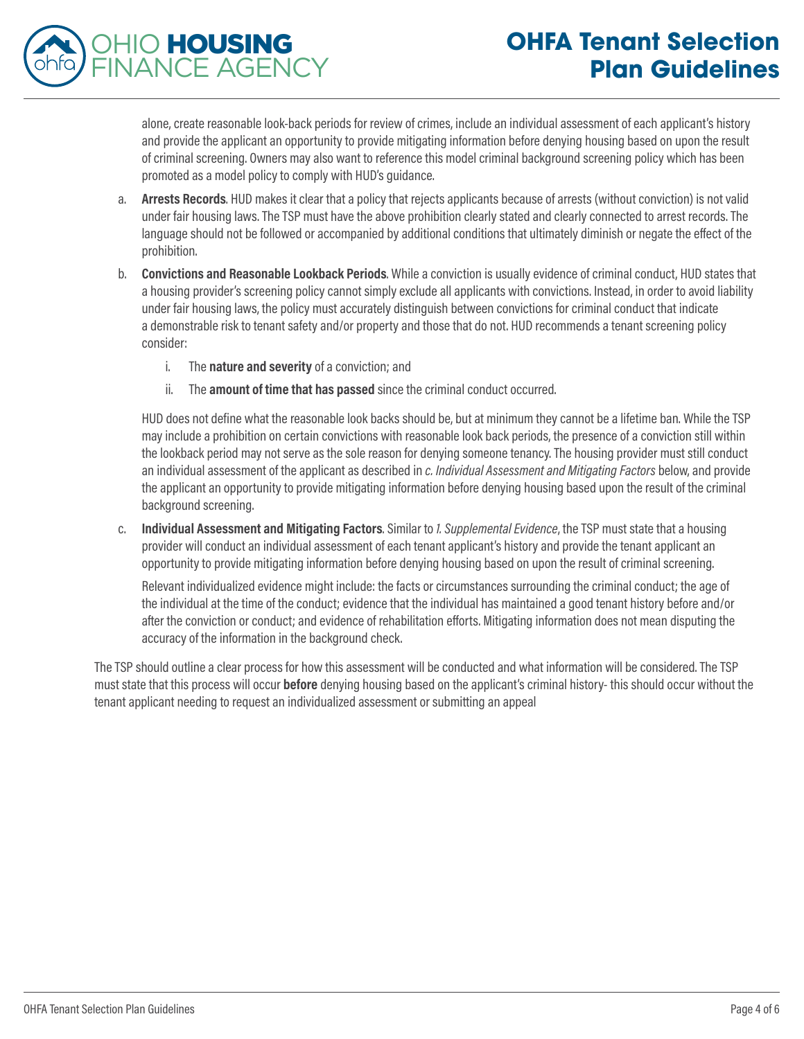## **OHFA Tenant Selection Plan Guidelines**



alone, create reasonable look-back periods for review of crimes, include an individual assessment of each applicant's history and provide the applicant an opportunity to provide mitigating information before denying housing based on upon the result of criminal screening. Owners may also want to reference this model criminal background screening policy which has been promoted as a model policy to comply with HUD's guidance.

- a. **Arrests Records**. HUD makes it clear that a policy that rejects applicants because of arrests (without conviction) is not valid under fair housing laws. The TSP must have the above prohibition clearly stated and clearly connected to arrest records. The language should not be followed or accompanied by additional conditions that ultimately diminish or negate the effect of the prohibition.
- b. **Convictions and Reasonable Lookback Periods**. While a conviction is usually evidence of criminal conduct, HUD states that a housing provider's screening policy cannot simply exclude all applicants with convictions. Instead, in order to avoid liability under fair housing laws, the policy must accurately distinguish between convictions for criminal conduct that indicate a demonstrable risk to tenant safety and/or property and those that do not. HUD recommends a tenant screening policy consider:
	- i. The **nature and severity** of a conviction; and
	- ii. The **amount of time that has passed** since the criminal conduct occurred.

HUD does not define what the reasonable look backs should be, but at minimum they cannot be a lifetime ban. While the TSP may include a prohibition on certain convictions with reasonable look back periods, the presence of a conviction still within the lookback period may not serve as the sole reason for denying someone tenancy. The housing provider must still conduct an individual assessment of the applicant as described in *c. Individual Assessment and Mitigating Factors* below, and provide the applicant an opportunity to provide mitigating information before denying housing based upon the result of the criminal background screening.

c. **Individual Assessment and Mitigating Factors**. Similar to *1. Supplemental Evidence*, the TSP must state that a housing provider will conduct an individual assessment of each tenant applicant's history and provide the tenant applicant an opportunity to provide mitigating information before denying housing based on upon the result of criminal screening.

Relevant individualized evidence might include: the facts or circumstances surrounding the criminal conduct; the age of the individual at the time of the conduct; evidence that the individual has maintained a good tenant history before and/or after the conviction or conduct; and evidence of rehabilitation efforts. Mitigating information does not mean disputing the accuracy of the information in the background check.

The TSP should outline a clear process for how this assessment will be conducted and what information will be considered. The TSP must state that this process will occur **before** denying housing based on the applicant's criminal history- this should occur without the tenant applicant needing to request an individualized assessment or submitting an appeal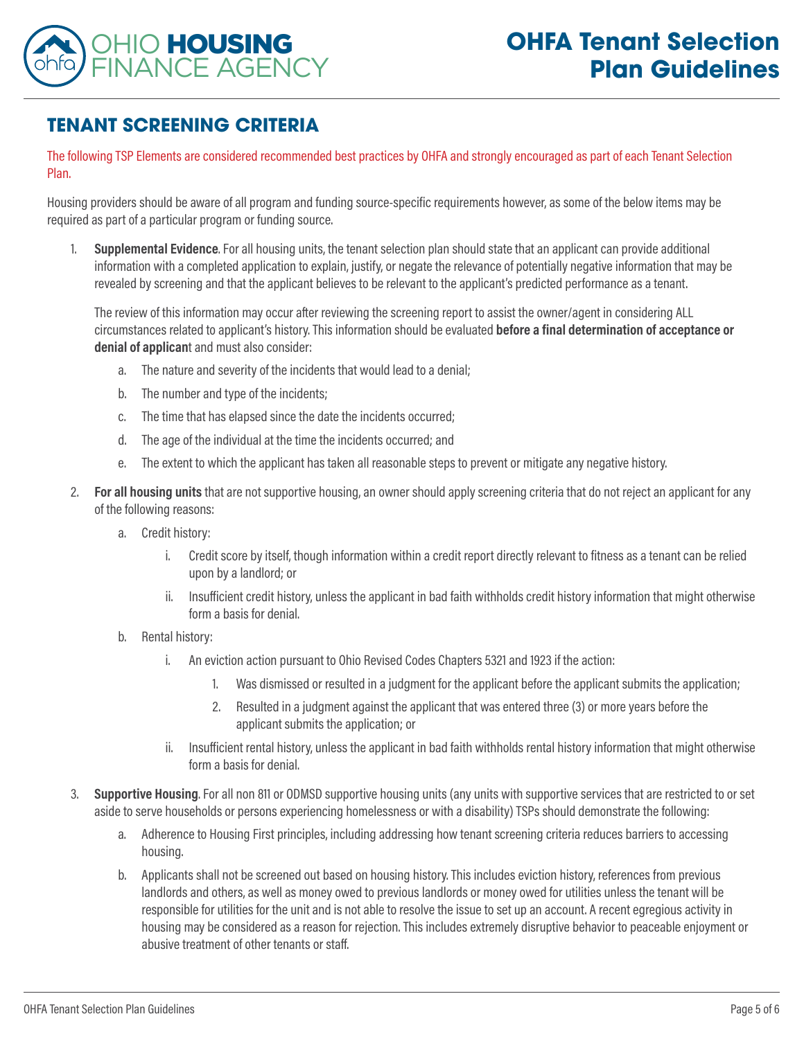

## **TENANT SCREENING CRITERIA**

The following TSP Elements are considered recommended best practices by OHFA and strongly encouraged as part of each Tenant Selection Plan.

Housing providers should be aware of all program and funding source-specific requirements however, as some of the below items may be required as part of a particular program or funding source.

1. **Supplemental Evidence**. For all housing units, the tenant selection plan should state that an applicant can provide additional information with a completed application to explain, justify, or negate the relevance of potentially negative information that may be revealed by screening and that the applicant believes to be relevant to the applicant's predicted performance as a tenant.

The review of this information may occur after reviewing the screening report to assist the owner/agent in considering ALL circumstances related to applicant's history. This information should be evaluated **before a final determination of acceptance or denial of applican**t and must also consider:

- a. The nature and severity of the incidents that would lead to a denial;
- b. The number and type of the incidents;
- c. The time that has elapsed since the date the incidents occurred;
- d. The age of the individual at the time the incidents occurred; and
- e. The extent to which the applicant has taken all reasonable steps to prevent or mitigate any negative history.
- 2. **For all housing units** that are not supportive housing, an owner should apply screening criteria that do not reject an applicant for any of the following reasons:
	- a. Credit history:
		- i. Credit score by itself, though information within a credit report directly relevant to fitness as a tenant can be relied upon by a landlord; or
		- ii. Insufficient credit history, unless the applicant in bad faith withholds credit history information that might otherwise form a basis for denial.
	- b. Rental history:
		- i. An eviction action pursuant to Ohio Revised Codes Chapters 5321 and 1923 if the action:
			- 1. Was dismissed or resulted in a judgment for the applicant before the applicant submits the application;
			- 2. Resulted in a judgment against the applicant that was entered three (3) or more years before the applicant submits the application; or
		- ii. Insufficient rental history, unless the applicant in bad faith withholds rental history information that might otherwise form a basis for denial.
- 3. **Supportive Housing**. For all non 811 or ODMSD supportive housing units (any units with supportive services that are restricted to or set aside to serve households or persons experiencing homelessness or with a disability) TSPs should demonstrate the following:
	- a. Adherence to Housing First principles, including addressing how tenant screening criteria reduces barriers to accessing housing.
	- b. Applicants shall not be screened out based on housing history. This includes eviction history, references from previous landlords and others, as well as money owed to previous landlords or money owed for utilities unless the tenant will be responsible for utilities for the unit and is not able to resolve the issue to set up an account. A recent egregious activity in housing may be considered as a reason for rejection. This includes extremely disruptive behavior to peaceable enjoyment or abusive treatment of other tenants or staff.